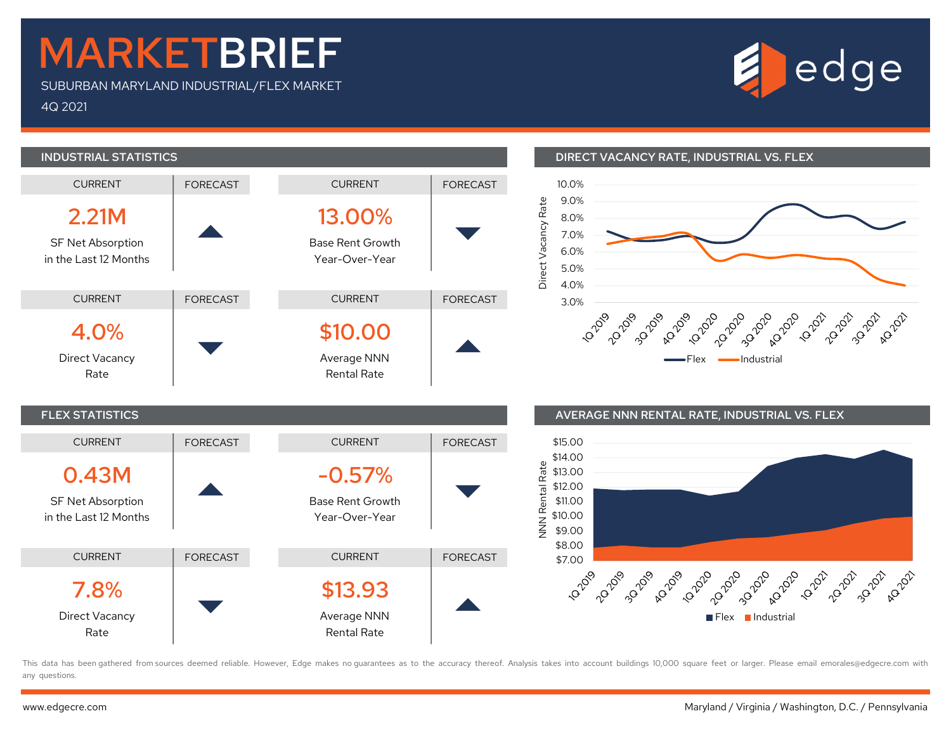## MARKETBRIEF

SUBURBAN MARYLAND INDUSTRIAL/FLEX MARKET 4Q 2021





#### INDUSTRIAL STATISTICS DIRECT VACANCY RATE, INDUSTRIAL VS. FLEX



### FLEX STATISTICS AVERAGE NNN RENTAL RATE, INDUSTRIAL VS. FLEX



This data has been gathered from sources deemed reliable. However, Edge makes no quarantees as to the accuracy thereof. Analysis takes into account buildings 10,000 square feet or larger. Please email emorales@edgecre.com any questions.